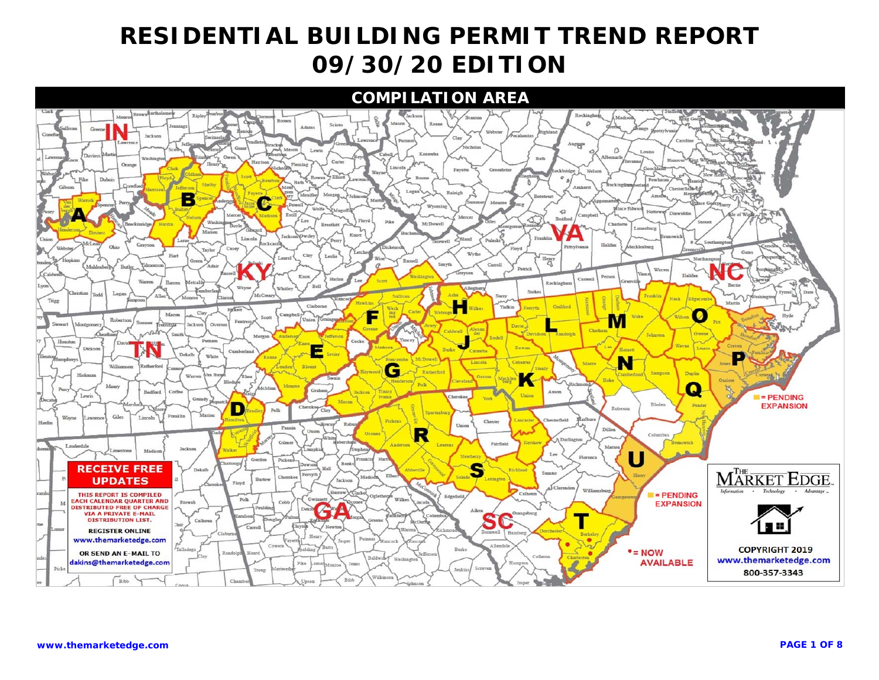#### **COMPILATION AREA**

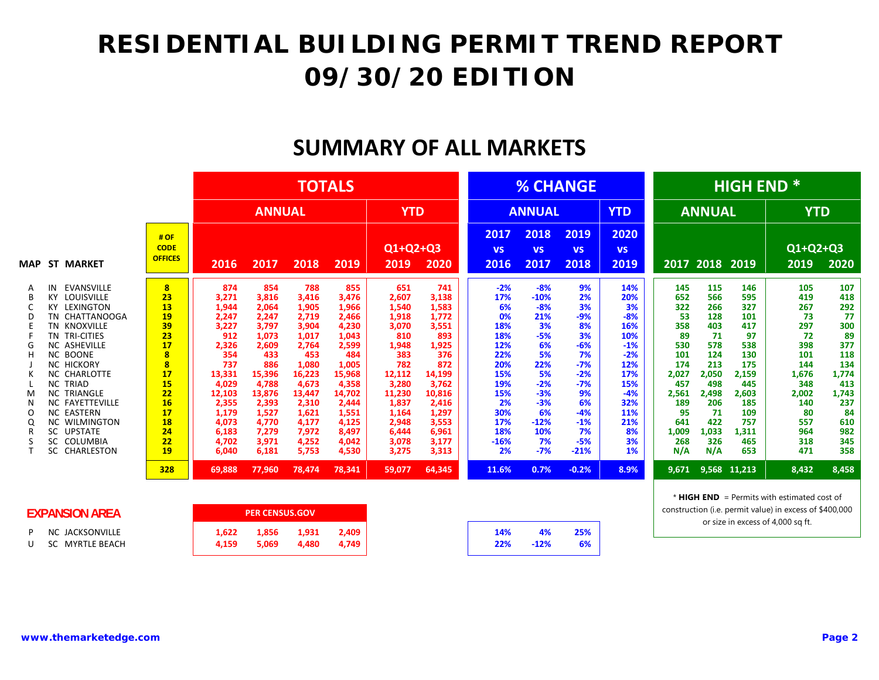#### **SUMMARY OF ALL MARKETS**

|                                                                                                                                                                                                                                                                                                                                                                                                               |                                                                                                                                    |                                                                                                                                                                    |                                                                                                                                                                      | <b>TOTALS</b>                                                                                                                                                          |                                                                                                                                                                        |                                                                                                                                                                    |                                                                                                                                                                    |                                                                                                                                      |                                                                                                                                                  | <b>% CHANGE</b>                                                                                                                                 |                                                                                                                                        |                                                                                                                                        |                                                                                                                                                | <b>HIGH END *</b>                                                                                                               |                                                                                                                                      |                                                                                                                                      |
|---------------------------------------------------------------------------------------------------------------------------------------------------------------------------------------------------------------------------------------------------------------------------------------------------------------------------------------------------------------------------------------------------------------|------------------------------------------------------------------------------------------------------------------------------------|--------------------------------------------------------------------------------------------------------------------------------------------------------------------|----------------------------------------------------------------------------------------------------------------------------------------------------------------------|------------------------------------------------------------------------------------------------------------------------------------------------------------------------|------------------------------------------------------------------------------------------------------------------------------------------------------------------------|--------------------------------------------------------------------------------------------------------------------------------------------------------------------|--------------------------------------------------------------------------------------------------------------------------------------------------------------------|--------------------------------------------------------------------------------------------------------------------------------------|--------------------------------------------------------------------------------------------------------------------------------------------------|-------------------------------------------------------------------------------------------------------------------------------------------------|----------------------------------------------------------------------------------------------------------------------------------------|----------------------------------------------------------------------------------------------------------------------------------------|------------------------------------------------------------------------------------------------------------------------------------------------|---------------------------------------------------------------------------------------------------------------------------------|--------------------------------------------------------------------------------------------------------------------------------------|--------------------------------------------------------------------------------------------------------------------------------------|
|                                                                                                                                                                                                                                                                                                                                                                                                               |                                                                                                                                    |                                                                                                                                                                    | <b>ANNUAL</b>                                                                                                                                                        |                                                                                                                                                                        |                                                                                                                                                                        | <b>YTD</b>                                                                                                                                                         |                                                                                                                                                                    |                                                                                                                                      | <b>ANNUAL</b>                                                                                                                                    |                                                                                                                                                 | <b>YTD</b>                                                                                                                             |                                                                                                                                        | <b>ANNUAL</b>                                                                                                                                  |                                                                                                                                 | <b>YTD</b>                                                                                                                           |                                                                                                                                      |
| <b>ST MARKET</b><br>MAP                                                                                                                                                                                                                                                                                                                                                                                       | #OF<br><b>CODE</b><br><b>OFFICES</b>                                                                                               | 2016                                                                                                                                                               | 2017                                                                                                                                                                 | 2018                                                                                                                                                                   | 2019                                                                                                                                                                   | Q1+Q2+Q3<br>2019                                                                                                                                                   | 2020                                                                                                                                                               | 2017<br><b>VS</b><br>2016                                                                                                            | 2018<br><b>VS</b><br>2017                                                                                                                        | 2019<br><b>VS</b><br>2018                                                                                                                       | 2020<br><b>VS</b><br>2019                                                                                                              |                                                                                                                                        | 2017 2018 2019                                                                                                                                 |                                                                                                                                 | $Q1+Q2+Q3$<br>2019                                                                                                                   | 2020                                                                                                                                 |
| <b>EVANSVILLE</b><br>IN<br>A<br><b>KY LOUISVILLE</b><br><b>KY LEXINGTON</b><br>TN CHATTANOOGA<br>Ð<br>TN KNOXVILLE<br>TN TRI-CITIES<br><b>NC ASHEVILLE</b><br><b>NC BOONE</b><br><b>NC HICKORY</b><br><b>NC CHARLOTTE</b><br><b>NC TRIAD</b><br><b>NC TRIANGLE</b><br>M<br><b>NC FAYETTEVILLE</b><br><b>NC EASTERN</b><br>$\Omega$<br><b>NC WILMINGTON</b><br>Q<br>SC UPSTATE<br>SC COLUMBIA<br>SC CHARLESTON | $\overline{\mathbf{8}}$<br>23<br>13<br>19<br>39<br>23<br>17<br>8<br>8<br>17<br>15<br>22<br>16<br>17<br>18<br>24<br>22<br>19<br>328 | 874<br>3,271<br>1,944<br>2,247<br>3,227<br>912<br>2,326<br>354<br>737<br>13,331<br>4,029<br>12,103<br>2,355<br>1,179<br>4,073<br>6,183<br>4.702<br>6,040<br>69,888 | 854<br>3,816<br>2,064<br>2,247<br>3,797<br>1,073<br>2,609<br>433<br>886<br>15,396<br>4,788<br>13,876<br>2,393<br>1,527<br>4,770<br>7,279<br>3,971<br>6,181<br>77,960 | 788<br>3,416<br>1,905<br>2,719<br>3,904<br>1,017<br>2,764<br>453<br>1,080<br>16,223<br>4,673<br>13,447<br>2,310<br>1,621<br>4,177<br>7,972<br>4,252<br>5,753<br>78,474 | 855<br>3,476<br>1,966<br>2,466<br>4,230<br>1,043<br>2,599<br>484<br>1,005<br>15,968<br>4,358<br>14,702<br>2,444<br>1,551<br>4,125<br>8,497<br>4,042<br>4,530<br>78,341 | 651<br>2,607<br>1,540<br>1,918<br>3,070<br>810<br>1,948<br>383<br>782<br>12,112<br>3,280<br>11,230<br>1,837<br>1,164<br>2,948<br>6,444<br>3,078<br>3,275<br>59,077 | 741<br>3,138<br>1,583<br>1,772<br>3,551<br>893<br>1,925<br>376<br>872<br>14,199<br>3,762<br>10,816<br>2,416<br>1,297<br>3,553<br>6,961<br>3,177<br>3,313<br>64,345 | $-2%$<br>17%<br>6%<br>0%<br>18%<br>18%<br>12%<br>22%<br>20%<br>15%<br>19%<br>15%<br>2%<br>30%<br>17%<br>18%<br>$-16%$<br>2%<br>11.6% | $-8%$<br>$-10%$<br>$-8%$<br>21%<br>3%<br>$-5%$<br>6%<br>5%<br>22%<br>5%<br>$-2%$<br>$-3%$<br>$-3%$<br>6%<br>$-12%$<br>10%<br>7%<br>$-7%$<br>0.7% | 9%<br>2%<br>3%<br>$-9%$<br>8%<br>3%<br>$-6%$<br>7%<br>$-7%$<br>$-2%$<br>$-7%$<br>9%<br>6%<br>$-4%$<br>$-1%$<br>7%<br>$-5%$<br>$-21%$<br>$-0.2%$ | 14%<br>20%<br>3%<br>$-8%$<br>16%<br>10%<br>$-1%$<br>$-2%$<br>12%<br>17%<br>15%<br>$-4%$<br>32%<br>11%<br>21%<br>8%<br>3%<br>1%<br>8.9% | 145<br>652<br>322<br>53<br>358<br>89<br>530<br>101<br>174<br>2,027<br>457<br>2,561<br>189<br>95<br>641<br>1,009<br>268<br>N/A<br>9,671 | 115<br>566<br>266<br>128<br>403<br>71<br>578<br>124<br>213<br>2,050<br>498<br>2,498<br>206<br>71<br>422<br>1,033<br>326<br>N/A<br>9,568 11,213 | 146<br>595<br>327<br>101<br>417<br>97<br>538<br>130<br>175<br>2,159<br>445<br>2,603<br>185<br>109<br>757<br>1,311<br>465<br>653 | 105<br>419<br>267<br>73<br>297<br>72<br>398<br>101<br>144<br>1,676<br>348<br>2,002<br>140<br>80<br>557<br>964<br>318<br>471<br>8,432 | 107<br>418<br>292<br>77<br>300<br>89<br>377<br>118<br>134<br>1,774<br>413<br>1,743<br>237<br>84<br>610<br>982<br>345<br>358<br>8,458 |
| EVDAMCION ADEA                                                                                                                                                                                                                                                                                                                                                                                                |                                                                                                                                    |                                                                                                                                                                    | <b>DED CENCHIC COVE</b>                                                                                                                                              |                                                                                                                                                                        |                                                                                                                                                                        |                                                                                                                                                                    |                                                                                                                                                                    |                                                                                                                                      |                                                                                                                                                  |                                                                                                                                                 |                                                                                                                                        |                                                                                                                                        |                                                                                                                                                |                                                                                                                                 | * $HIGH END = Permits with estimated cost of$<br>construction (i.e. permit value) in excess of \$400,000                             |                                                                                                                                      |

|   | EXPANSION AREA  |  |
|---|-----------------|--|
| P | NC JACKSONVILLE |  |

U SC MYRTLE BEACH **4,159 5,069 4,480 4,749 22% ‐12% 6%**

| А   |       | <b>PER CENSUS.GOV</b> |       |       |
|-----|-------|-----------------------|-------|-------|
| LE  | 1.622 | 1.856                 | 1.931 | 2.409 |
| ١СН | 4.159 | 5.069                 | 4.480 | 4.749 |

| <b>14%</b> | 4%     | 25% |
|------------|--------|-----|
| 22%        | $-12%$ | 6%  |
|            |        |     |

construction (i.e. permit value) in excess of \$400,000 or size in excess of 4,000 sq ft.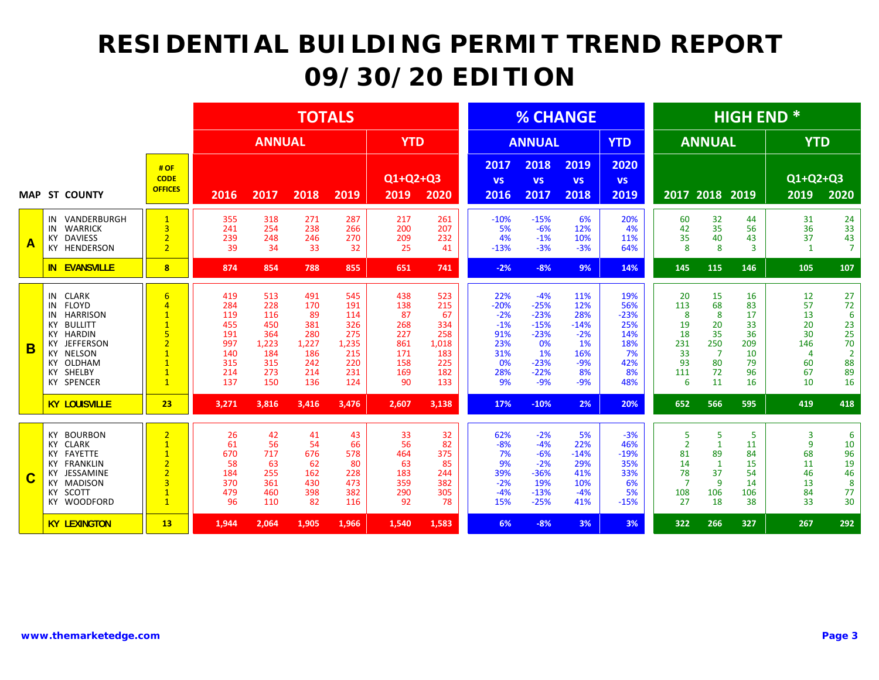|   |                                                                                                                                                                                                           |                                                                                                                                                                    |                                                                    |                                                                      | <b>TOTALS</b>                                                       |                                                                      |                                                                  |                                                                     |                                                                         |                                                                                        | <b>% CHANGE</b>                                                           |                                                                     |                                                                      |                                                                              | <b>HIGH END*</b>                                          |                                                          |                                                                     |
|---|-----------------------------------------------------------------------------------------------------------------------------------------------------------------------------------------------------------|--------------------------------------------------------------------------------------------------------------------------------------------------------------------|--------------------------------------------------------------------|----------------------------------------------------------------------|---------------------------------------------------------------------|----------------------------------------------------------------------|------------------------------------------------------------------|---------------------------------------------------------------------|-------------------------------------------------------------------------|----------------------------------------------------------------------------------------|---------------------------------------------------------------------------|---------------------------------------------------------------------|----------------------------------------------------------------------|------------------------------------------------------------------------------|-----------------------------------------------------------|----------------------------------------------------------|---------------------------------------------------------------------|
|   |                                                                                                                                                                                                           |                                                                                                                                                                    |                                                                    | <b>ANNUAL</b>                                                        |                                                                     |                                                                      | <b>YTD</b>                                                       |                                                                     |                                                                         | <b>ANNUAL</b>                                                                          |                                                                           | <b>YTD</b>                                                          |                                                                      | <b>ANNUAL</b>                                                                |                                                           | <b>YTD</b>                                               |                                                                     |
|   | <b>MAP ST COUNTY</b>                                                                                                                                                                                      | # OF<br><b>CODE</b><br><b>OFFICES</b>                                                                                                                              | 2016                                                               | 2017                                                                 | 2018                                                                | 2019                                                                 | Q1+Q2+Q3<br>2019                                                 | 2020                                                                | 2017<br><b>VS</b><br>2016                                               | 2018<br><b>VS</b><br>2017                                                              | 2019<br><b>VS</b><br>2018                                                 | 2020<br><b>VS</b><br>2019                                           | 2017                                                                 | 2018                                                                         | 2019                                                      | Q1+Q2+Q3<br>2019                                         | 2020                                                                |
| A | VANDERBURGH<br>IN<br>WARRICK<br>IN<br><b>DAVIESS</b><br>KY<br>KY HENDERSON                                                                                                                                | $\mathbf{1}$<br>$\overline{3}$<br>$\overline{2}$<br>$\overline{2}$                                                                                                 | 355<br>241<br>239<br>39                                            | 318<br>254<br>248<br>34                                              | 271<br>238<br>246<br>33                                             | 287<br>266<br>270<br>32                                              | 217<br>200<br>209<br>25                                          | 261<br>207<br>232<br>41                                             | $-10%$<br>5%<br>4%<br>$-13%$                                            | $-15%$<br>$-6%$<br>$-1%$<br>$-3%$                                                      | 6%<br>12%<br>10%<br>$-3%$                                                 | 20%<br>4%<br>11%<br>64%                                             | 60<br>42<br>35<br>8                                                  | 32<br>35<br>40<br>8                                                          | 44<br>56<br>43<br>$\overline{3}$                          | 31<br>36<br>37<br>$\mathbf{1}$                           | 24<br>33<br>43<br>$\overline{7}$                                    |
|   | <b>IN EVANSVILLE</b>                                                                                                                                                                                      | $\overline{\mathbf{8}}$                                                                                                                                            | 874                                                                | 854                                                                  | 788                                                                 | 855                                                                  | 651                                                              | 741                                                                 | $-2%$                                                                   | $-8%$                                                                                  | 9%                                                                        | 14%                                                                 | 145                                                                  | 115                                                                          | 146                                                       | 105                                                      | 107                                                                 |
| B | IN CLARK<br><b>FLOYD</b><br>IN<br><b>HARRISON</b><br>IN<br><b>BULLITT</b><br>KY<br><b>KY HARDIN</b><br><b>JEFFERSON</b><br>КY<br><b>NELSON</b><br>KY<br>OLDHAM<br>KY<br>SHELBY<br>КY<br><b>KY SPENCER</b> | $6\overline{6}$<br>$\overline{a}$<br>$\overline{1}$<br>$\overline{1}$<br>5<br>$\overline{2}$<br>$\overline{1}$<br>$\overline{1}$<br>$\overline{1}$<br>$\mathbf{1}$ | 419<br>284<br>119<br>455<br>191<br>997<br>140<br>315<br>214<br>137 | 513<br>228<br>116<br>450<br>364<br>1,223<br>184<br>315<br>273<br>150 | 491<br>170<br>89<br>381<br>280<br>1,227<br>186<br>242<br>214<br>136 | 545<br>191<br>114<br>326<br>275<br>1,235<br>215<br>220<br>231<br>124 | 438<br>138<br>87<br>268<br>227<br>861<br>171<br>158<br>169<br>90 | 523<br>215<br>67<br>334<br>258<br>1,018<br>183<br>225<br>182<br>133 | 22%<br>$-20%$<br>$-2%$<br>$-1%$<br>91%<br>23%<br>31%<br>0%<br>28%<br>9% | $-4%$<br>$-25%$<br>$-23%$<br>$-15%$<br>$-23%$<br>0%<br>1%<br>$-23%$<br>$-22%$<br>$-9%$ | 11%<br>12%<br>28%<br>$-14%$<br>$-2%$<br>1%<br>16%<br>$-9%$<br>8%<br>$-9%$ | 19%<br>56%<br>$-23%$<br>25%<br>14%<br>18%<br>7%<br>42%<br>8%<br>48% | 20<br>113<br>8<br>19<br>18<br>231<br>33<br>93<br>111<br>6            | 15<br>68<br>8<br>20<br>35<br>250<br>$\overline{7}$<br>80<br>72<br>11         | 16<br>83<br>17<br>33<br>36<br>209<br>10<br>79<br>96<br>16 | 12<br>57<br>13<br>20<br>30<br>146<br>4<br>60<br>67<br>10 | 27<br>72<br>6<br>23<br>25<br>70<br>$\overline{2}$<br>88<br>89<br>16 |
|   | <b>KY LOUISVILLE</b>                                                                                                                                                                                      | 23                                                                                                                                                                 | 3,271                                                              | 3,816                                                                | 3,416                                                               | 3,476                                                                | 2,607                                                            | 3,138                                                               | 17%                                                                     | $-10%$                                                                                 | 2%                                                                        | 20%                                                                 | 652                                                                  | 566                                                                          | 595                                                       | 419                                                      | 418                                                                 |
| C | <b>BOURBON</b><br>KY<br><b>KY CLARK</b><br><b>FAYETTE</b><br>КY<br><b>FRANKLIN</b><br>KY<br>JESSAMINE<br>KY<br><b>MADISON</b><br>КY<br>SCOTT<br>ΚY<br>KY WOODFORD                                         | $\overline{2}$<br>$\overline{1}$<br>$\mathbf{1}$<br>$\overline{2}$<br>$\overline{2}$<br>$\overline{3}$<br>$\overline{1}$<br>$\mathbf{1}$                           | 26<br>61<br>670<br>58<br>184<br>370<br>479<br>96                   | 42<br>56<br>717<br>63<br>255<br>361<br>460<br>110                    | 41<br>54<br>676<br>62<br>162<br>430<br>398<br>82                    | 43<br>66<br>578<br>80<br>228<br>473<br>382<br>116                    | 33<br>56<br>464<br>63<br>183<br>359<br>290<br>92                 | 32<br>82<br>375<br>85<br>244<br>382<br>305<br>78                    | 62%<br>$-8%$<br>7%<br>9%<br>39%<br>$-2%$<br>$-4%$<br>15%                | $-2%$<br>$-4%$<br>$-6%$<br>$-2%$<br>$-36%$<br>19%<br>$-13%$<br>$-25%$                  | 5%<br>22%<br>$-14%$<br>29%<br>41%<br>10%<br>$-4%$<br>41%                  | $-3%$<br>46%<br>$-19%$<br>35%<br>33%<br>6%<br>5%<br>$-15%$          | 5<br>$\overline{2}$<br>81<br>14<br>78<br>$\overline{7}$<br>108<br>27 | 5<br>$\mathbf{1}$<br>89<br>$\mathbf{1}$<br>37<br>$\overline{9}$<br>106<br>18 | 5<br>11<br>84<br>15<br>54<br>14<br>106<br>38              | 3<br>9<br>68<br>11<br>46<br>13<br>84<br>33               | 6<br>10<br>96<br>19<br>46<br>8<br>77<br>30                          |
|   | <b>KY LEXINGTON</b>                                                                                                                                                                                       | 13                                                                                                                                                                 | 1,944                                                              | 2,064                                                                | 1,905                                                               | 1,966                                                                | 1,540                                                            | 1,583                                                               | 6%                                                                      | $-8%$                                                                                  | 3%                                                                        | 3%                                                                  | 322                                                                  | 266                                                                          | 327                                                       | 267                                                      | 292                                                                 |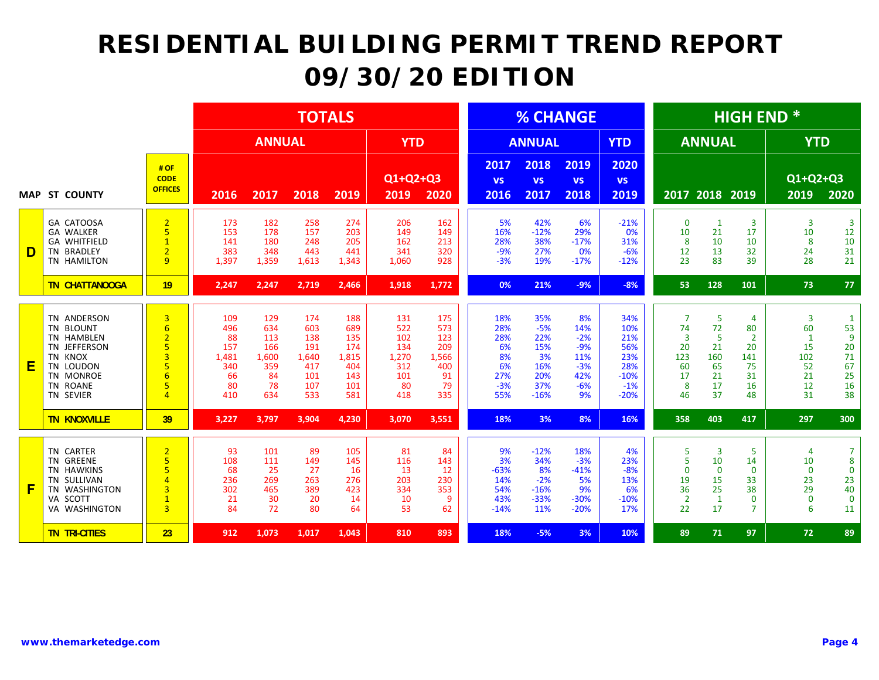|   |                                                                                                                      |                                                                                                 |                                                            |                                                             | <b>TOTALS</b>                                                 |                                                               |                                                               |                                                             |                                                            |                                                                 | <b>% CHANGE</b>                                                   |                                                                     |                                                                            |                                                          | <b>HIGH END*</b>                                                  |                                                              |                                                                          |
|---|----------------------------------------------------------------------------------------------------------------------|-------------------------------------------------------------------------------------------------|------------------------------------------------------------|-------------------------------------------------------------|---------------------------------------------------------------|---------------------------------------------------------------|---------------------------------------------------------------|-------------------------------------------------------------|------------------------------------------------------------|-----------------------------------------------------------------|-------------------------------------------------------------------|---------------------------------------------------------------------|----------------------------------------------------------------------------|----------------------------------------------------------|-------------------------------------------------------------------|--------------------------------------------------------------|--------------------------------------------------------------------------|
|   |                                                                                                                      |                                                                                                 |                                                            | <b>ANNUAL</b>                                               |                                                               |                                                               | <b>YTD</b>                                                    |                                                             |                                                            | <b>ANNUAL</b>                                                   |                                                                   | <b>YTD</b>                                                          |                                                                            | <b>ANNUAL</b>                                            |                                                                   | <b>YTD</b>                                                   |                                                                          |
|   | <b>MAP ST COUNTY</b>                                                                                                 | #OF<br><b>CODE</b><br><b>OFFICES</b>                                                            | 2016                                                       | 2017                                                        | 2018                                                          | 2019                                                          | Q1+Q2+Q3<br>2019                                              | 2020                                                        | 2017<br><b>VS</b><br>2016                                  | 2018<br><b>VS</b><br>2017                                       | 2019<br><b>VS</b><br>2018                                         | 2020<br><b>VS</b><br>2019                                           |                                                                            | 2017 2018                                                | 2019                                                              | Q1+Q2+Q3<br>2019                                             | 2020                                                                     |
| D | <b>GA CATOOSA</b><br><b>GA WALKER</b><br><b>GA WHITFIELD</b><br>TN BRADLEY<br>TN HAMILTON                            | $\overline{2}$<br>5<br>$\mathbf{1}$<br>$\overline{2}$<br>$\mathbf{q}$                           | 173<br>153<br>141<br>383<br>1,397                          | 182<br>178<br>180<br>348<br>1,359                           | 258<br>157<br>248<br>443<br>1,613                             | 274<br>203<br>205<br>441<br>1,343                             | 206<br>149<br>162<br>341<br>1,060                             | 162<br>149<br>213<br>320<br>928                             | 5%<br>16%<br>28%<br>$-9%$<br>$-3%$                         | 42%<br>$-12%$<br>38%<br>27%<br>19%                              | 6%<br>29%<br>$-17%$<br>0%<br>$-17%$                               | $-21%$<br>0%<br>31%<br>$-6%$<br>$-12%$                              | $\mathbf 0$<br>10<br>8<br>12<br>23                                         | $\mathbf{1}$<br>21<br>10<br>13<br>83                     | $\overline{3}$<br>17<br>10<br>32<br>39                            | 3<br>10<br>8<br>24<br>28                                     | $\overline{3}$<br>12<br>$10\,$<br>31<br>21                               |
|   | <b>TN CHATTANOOGA</b>                                                                                                | 19                                                                                              | 2,247                                                      | 2,247                                                       | 2,719                                                         | 2,466                                                         | 1,918                                                         | 1,772                                                       | 0%                                                         | 21%                                                             | $-9%$                                                             | $-8%$                                                               | 53                                                                         | 128                                                      | 101                                                               | 73                                                           | 77                                                                       |
| Ε | TN ANDERSON<br>TN BLOUNT<br>TN HAMBLEN<br>TN JEFFERSON<br>TN KNOX<br>TN LOUDON<br>TN MONROE<br>TN ROANE<br>TN SEVIER | 3<br>$6\overline{6}$<br>$\overline{2}$<br>5<br>3<br>5<br>$6\overline{6}$<br>5<br>$\overline{4}$ | 109<br>496<br>88<br>157<br>1,481<br>340<br>66<br>80<br>410 | 129<br>634<br>113<br>166<br>1,600<br>359<br>84<br>78<br>634 | 174<br>603<br>138<br>191<br>1,640<br>417<br>101<br>107<br>533 | 188<br>689<br>135<br>174<br>1,815<br>404<br>143<br>101<br>581 | 131<br>522<br>102<br>134<br>1,270<br>312<br>101<br>-80<br>418 | 175<br>573<br>123<br>209<br>1,566<br>400<br>91<br>79<br>335 | 18%<br>28%<br>28%<br>6%<br>8%<br>6%<br>27%<br>$-3%$<br>55% | 35%<br>$-5%$<br>22%<br>15%<br>3%<br>16%<br>20%<br>37%<br>$-16%$ | 8%<br>14%<br>$-2%$<br>$-9%$<br>11%<br>$-3%$<br>42%<br>$-6%$<br>9% | 34%<br>10%<br>21%<br>56%<br>23%<br>28%<br>$-10%$<br>$-1%$<br>$-20%$ | $\overline{7}$<br>74<br>$\overline{3}$<br>20<br>123<br>60<br>17<br>8<br>46 | 5<br>72<br>5<br>21<br>160<br>65<br>21<br>17<br>37        | 4<br>80<br>$\overline{2}$<br>20<br>141<br>75<br>31<br>16<br>48    | 3<br>60<br>$\mathbf{1}$<br>15<br>102<br>52<br>21<br>12<br>31 | $\mathbf{1}$<br>53<br>$\overline{9}$<br>20<br>71<br>67<br>25<br>16<br>38 |
|   | <b>TN KNOXVILLE</b>                                                                                                  | 39                                                                                              | 3,227                                                      | 3,797                                                       | 3,904                                                         | 4,230                                                         | 3,070                                                         | 3,551                                                       | 18%                                                        | 3%                                                              | 8%                                                                | 16%                                                                 | 358                                                                        | 403                                                      | 417                                                               | 297                                                          | 300                                                                      |
| F | TN CARTER<br>TN GREENE<br><b>TN HAWKINS</b><br>TN SULLIVAN<br>TN WASHINGTON<br>VA SCOTT<br>VA WASHINGTON             | $\overline{2}$<br>5<br>5<br>$\overline{4}$<br>3<br>$\overline{1}$<br>$\overline{3}$             | 93<br>108<br>68<br>236<br>302<br>21<br>84                  | 101<br>111<br>25<br>269<br>465<br>30<br>72                  | 89<br>149<br>27<br>263<br>389<br>20<br>80                     | 105<br>145<br>16<br>276<br>423<br>14<br>64                    | 81<br>116<br>13<br>203<br>334<br>10<br>53                     | 84<br>143<br>12<br>230<br>353<br>9<br>62                    | 9%<br>3%<br>$-63%$<br>14%<br>54%<br>43%<br>$-14%$          | $-12%$<br>34%<br>8%<br>$-2%$<br>$-16%$<br>$-33%$<br>11%         | 18%<br>$-3%$<br>$-41%$<br>5%<br>9%<br>$-30%$<br>$-20%$            | 4%<br>23%<br>$-8%$<br>13%<br>6%<br>$-10%$<br>17%                    | 5<br>5<br>$\Omega$<br>19<br>36<br>$\overline{2}$<br>22                     | 3<br>10<br>$\mathbf 0$<br>15<br>25<br>$\mathbf{1}$<br>17 | 5<br>14<br>$\Omega$<br>33<br>38<br>$\mathbf{0}$<br>$\overline{7}$ | 4<br>10<br>$\mathbf 0$<br>23<br>29<br>$\mathbf 0$<br>6       | $\overline{7}$<br>8<br>$\mathbf 0$<br>23<br>40<br>$\mathbf 0$<br>11      |
|   | <b>TN TRI-CITIES</b>                                                                                                 | 23                                                                                              | 912                                                        | 1,073                                                       | 1,017                                                         | 1,043                                                         | 810                                                           | 893                                                         | 18%                                                        | $-5%$                                                           | 3%                                                                | 10%                                                                 | 89                                                                         | 71                                                       | 97                                                                | 72                                                           | 89                                                                       |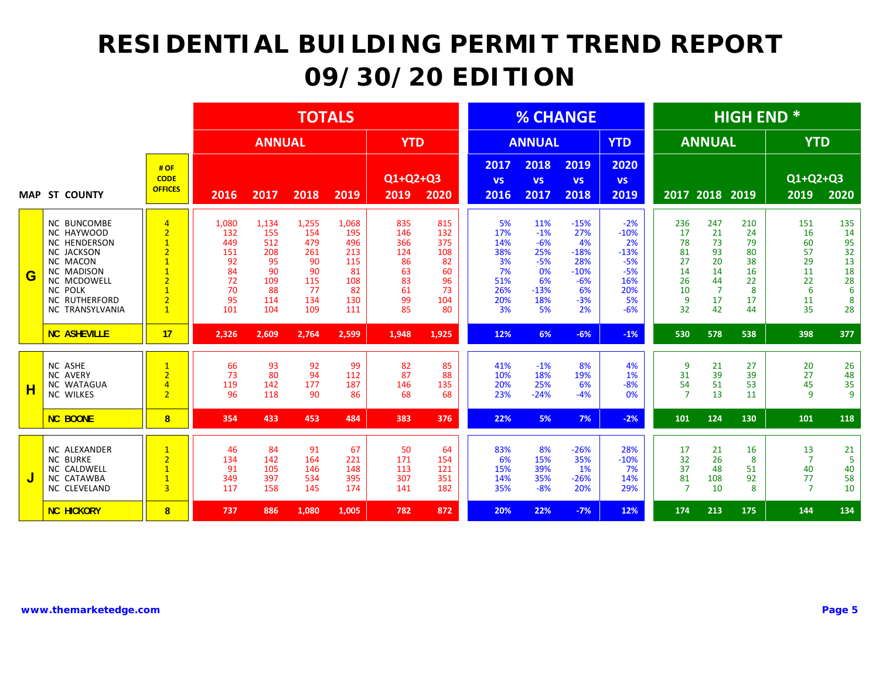|   |                                                                                                                                                                                           |                                                                                                                                                                                |                                                                 |                                                                   | <b>TOTALS</b>                                                     |                                                                    |                                                              |                                                               |                                                                |                                                                          | <b>% CHANGE</b>                                                              |                                                                                |                                                          |                                                                       | <b>HIGH END*</b>                                         |                                                          |                                                         |
|---|-------------------------------------------------------------------------------------------------------------------------------------------------------------------------------------------|--------------------------------------------------------------------------------------------------------------------------------------------------------------------------------|-----------------------------------------------------------------|-------------------------------------------------------------------|-------------------------------------------------------------------|--------------------------------------------------------------------|--------------------------------------------------------------|---------------------------------------------------------------|----------------------------------------------------------------|--------------------------------------------------------------------------|------------------------------------------------------------------------------|--------------------------------------------------------------------------------|----------------------------------------------------------|-----------------------------------------------------------------------|----------------------------------------------------------|----------------------------------------------------------|---------------------------------------------------------|
|   |                                                                                                                                                                                           |                                                                                                                                                                                |                                                                 | <b>ANNUAL</b>                                                     |                                                                   |                                                                    | <b>YTD</b>                                                   |                                                               |                                                                | <b>ANNUAL</b>                                                            |                                                                              | <b>YTD</b>                                                                     |                                                          | <b>ANNUAL</b>                                                         |                                                          | <b>YTD</b>                                               |                                                         |
|   | <b>MAP ST COUNTY</b>                                                                                                                                                                      | # OF<br><b>CODE</b><br><b>OFFICES</b>                                                                                                                                          | 2016                                                            | 2017                                                              | 2018                                                              | 2019                                                               | Q1+Q2+Q3<br>2019                                             | 2020                                                          | 2017<br><b>VS</b><br>2016                                      | 2018<br><b>VS</b><br>2017                                                | 2019<br><b>VS</b><br>2018                                                    | 2020<br><b>VS</b><br>2019                                                      |                                                          | 2017 2018 2019                                                        |                                                          | Q1+Q2+Q3<br>2019                                         | 2020                                                    |
| G | <b>NC BUNCOMBE</b><br>NC HAYWOOD<br><b>NC HENDERSON</b><br>NC JACKSON<br><b>NC MACON</b><br><b>NC MADISON</b><br>NC MCDOWELL<br><b>NC POLK</b><br><b>NC RUTHERFORD</b><br>NC TRANSYLVANIA | $\overline{4}$<br>$\overline{2}$<br>$\overline{1}$<br>$\overline{2}$<br>$\overline{1}$<br>$\overline{1}$<br>$\overline{2}$<br>$\overline{1}$<br>$\overline{2}$<br>$\mathbf{1}$ | 1,080<br>132<br>449<br>151<br>92<br>84<br>72<br>70<br>95<br>101 | 1,134<br>155<br>512<br>208<br>95<br>90<br>109<br>88<br>114<br>104 | 1,255<br>154<br>479<br>261<br>90<br>90<br>115<br>77<br>134<br>109 | 1,068<br>195<br>496<br>213<br>115<br>81<br>108<br>82<br>130<br>111 | 835<br>146<br>366<br>124<br>86<br>63<br>83<br>61<br>99<br>85 | 815<br>132<br>375<br>108<br>82<br>60<br>96<br>73<br>104<br>80 | 5%<br>17%<br>14%<br>38%<br>3%<br>7%<br>51%<br>26%<br>20%<br>3% | 11%<br>$-1%$<br>$-6%$<br>25%<br>$-5%$<br>0%<br>6%<br>$-13%$<br>18%<br>5% | $-15%$<br>27%<br>4%<br>$-18%$<br>28%<br>$-10%$<br>$-6%$<br>6%<br>$-3%$<br>2% | $-2%$<br>$-10%$<br>2%<br>$-13%$<br>$-5%$<br>$-5%$<br>16%<br>20%<br>5%<br>$-6%$ | 236<br>17<br>78<br>81<br>27<br>14<br>26<br>10<br>9<br>32 | 247<br>21<br>73<br>93<br>20<br>14<br>44<br>$\overline{7}$<br>17<br>42 | 210<br>24<br>79<br>80<br>38<br>16<br>22<br>8<br>17<br>44 | 151<br>16<br>60<br>57<br>29<br>11<br>22<br>6<br>11<br>35 | 135<br>14<br>95<br>32<br>13<br>18<br>28<br>6<br>8<br>28 |
|   | <b>NC ASHEVILLE</b>                                                                                                                                                                       | 17                                                                                                                                                                             | 2,326                                                           | 2,609                                                             | 2,764                                                             | 2,599                                                              | 1,948                                                        | 1,925                                                         | 12%                                                            | 6%                                                                       | $-6%$                                                                        | $-1%$                                                                          | 530                                                      | 578                                                                   | 538                                                      | 398                                                      | 377                                                     |
| н | NC ASHE<br><b>NC AVERY</b><br><b>NC WATAGUA</b><br>NC WILKES                                                                                                                              | $\overline{1}$<br>$\overline{2}$<br>$\overline{4}$<br>$\overline{2}$                                                                                                           | 66<br>73<br>119<br>96                                           | 93<br>80<br>142<br>118                                            | 92<br>94<br>177<br>90                                             | 99<br>112<br>187<br>86                                             | 82<br>87<br>146<br>68                                        | 85<br>88<br>135<br>68                                         | 41%<br>10%<br>20%<br>23%                                       | $-1%$<br>18%<br>25%<br>$-24%$                                            | 8%<br>19%<br>6%<br>$-4%$                                                     | 4%<br>1%<br>$-8%$<br>0%                                                        | 9<br>31<br>54<br>$\overline{7}$                          | 21<br>39<br>51<br>13                                                  | 27<br>39<br>53<br>11                                     | 20<br>27<br>45<br>$\overline{9}$                         | 26<br>48<br>35<br>$\overline{9}$                        |
|   | <b>NC BOONE</b>                                                                                                                                                                           | 8                                                                                                                                                                              | 354                                                             | 433                                                               | 453                                                               | 484                                                                | 383                                                          | 376                                                           | 22%                                                            | 5%                                                                       | 7%                                                                           | $-2%$                                                                          | 101                                                      | 124                                                                   | 130                                                      | 101                                                      | 118                                                     |
|   | NC ALEXANDER<br><b>NC BURKE</b><br>NC CALDWELL<br>NC CATAWBA<br>NC CLEVELAND                                                                                                              | $\overline{1}$<br>$\overline{2}$<br>$\overline{1}$<br>$\overline{1}$<br>$\overline{3}$                                                                                         | 46<br>134<br>91<br>349<br>117                                   | 84<br>142<br>105<br>397<br>158                                    | 91<br>164<br>146<br>534<br>145                                    | 67<br>221<br>148<br>395<br>174                                     | 50<br>171<br>113<br>307<br>141                               | 64<br>154<br>121<br>351<br>182                                | 83%<br>6%<br>15%<br>14%<br>35%                                 | 8%<br>15%<br>39%<br>35%<br>$-8%$                                         | $-26%$<br>35%<br>1%<br>$-26%$<br>20%                                         | 28%<br>$-10%$<br>7%<br>14%<br>29%                                              | 17<br>32<br>37<br>81<br>$\overline{7}$                   | 21<br>26<br>48<br>108<br>10                                           | 16<br>8<br>51<br>92<br>8                                 | 13<br>$\overline{7}$<br>40<br>77<br>$\overline{7}$       | 21<br>5<br>40<br>58<br>10                               |
|   | <b>NC HICKORY</b>                                                                                                                                                                         | 8                                                                                                                                                                              | 737                                                             | 886                                                               | 1,080                                                             | 1,005                                                              | 782                                                          | 872                                                           | 20%                                                            | 22%                                                                      | $-7%$                                                                        | 12%                                                                            | 174                                                      | 213                                                                   | 175                                                      | 144                                                      | 134                                                     |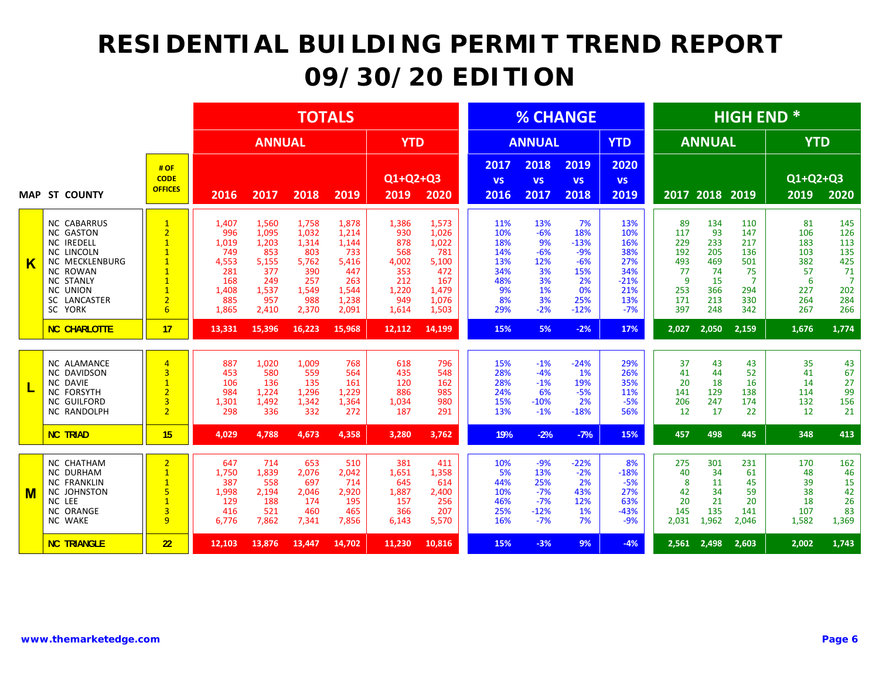|            |                                                                                                                                                                                                |                                                                                                                                                                 |                                                                              |                                                                                | <b>TOTALS</b>                                                                  |                                                                                  |                                                                            |                                                                                  |                                                                  |                                                                     | <b>% CHANGE</b>                                                           |                                                                         |                                                                |                                                                 | <b>HIGH END *</b>                                                            |                                                                |                                                                              |
|------------|------------------------------------------------------------------------------------------------------------------------------------------------------------------------------------------------|-----------------------------------------------------------------------------------------------------------------------------------------------------------------|------------------------------------------------------------------------------|--------------------------------------------------------------------------------|--------------------------------------------------------------------------------|----------------------------------------------------------------------------------|----------------------------------------------------------------------------|----------------------------------------------------------------------------------|------------------------------------------------------------------|---------------------------------------------------------------------|---------------------------------------------------------------------------|-------------------------------------------------------------------------|----------------------------------------------------------------|-----------------------------------------------------------------|------------------------------------------------------------------------------|----------------------------------------------------------------|------------------------------------------------------------------------------|
|            |                                                                                                                                                                                                |                                                                                                                                                                 |                                                                              | <b>ANNUAL</b>                                                                  |                                                                                |                                                                                  | <b>YTD</b>                                                                 |                                                                                  |                                                                  | <b>ANNUAL</b>                                                       |                                                                           | <b>YTD</b>                                                              |                                                                | <b>ANNUAL</b>                                                   |                                                                              | <b>YTD</b>                                                     |                                                                              |
| <b>MAP</b> | <b>ST COUNTY</b>                                                                                                                                                                               | # OF<br><b>CODE</b><br><b>OFFICES</b>                                                                                                                           | 2016                                                                         | 2017                                                                           | 2018                                                                           | 2019                                                                             | Q1+Q2+Q3<br>2019                                                           | 2020                                                                             | 2017<br><b>VS</b><br>2016                                        | 2018<br><b>VS</b><br>2017                                           | 2019<br><b>VS</b><br>2018                                                 | 2020<br><b>VS</b><br>2019                                               |                                                                | 2017 2018                                                       | 2019                                                                         | Q1+Q2+Q3<br>2019                                               | 2020                                                                         |
| Κ          | <b>NC CABARRUS</b><br><b>NC GASTON</b><br><b>NC IREDELL</b><br><b>NC LINCOLN</b><br><b>NC MECKLENBURG</b><br><b>NC ROWAN</b><br><b>NC STANLY</b><br><b>NC UNION</b><br>SC LANCASTER<br>SC YORK | $\mathbf{1}$<br>$\overline{2}$<br>$\overline{1}$<br>$\mathbf{1}$<br>$\overline{1}$<br>$\overline{1}$<br>$\overline{1}$<br>$\overline{1}$<br>$\overline{2}$<br>6 | 1,407<br>996<br>1,019<br>749<br>4,553<br>281<br>168<br>1,408<br>885<br>1,865 | 1,560<br>1,095<br>1,203<br>853<br>5,155<br>377<br>249<br>1,537<br>957<br>2,410 | 1,758<br>1,032<br>1,314<br>803<br>5.762<br>390<br>257<br>1,549<br>988<br>2,370 | 1,878<br>1,214<br>1,144<br>733<br>5.416<br>447<br>263<br>1,544<br>1,238<br>2,091 | 1,386<br>930<br>878<br>568<br>4,002<br>353<br>212<br>1,220<br>949<br>1,614 | 1,573<br>1,026<br>1,022<br>781<br>5,100<br>472<br>167<br>1,479<br>1,076<br>1,503 | 11%<br>10%<br>18%<br>14%<br>13%<br>34%<br>48%<br>9%<br>8%<br>29% | 13%<br>$-6%$<br>9%<br>$-6%$<br>12%<br>3%<br>3%<br>1%<br>3%<br>$-2%$ | 7%<br>18%<br>$-13%$<br>$-9%$<br>$-6%$<br>15%<br>2%<br>0%<br>25%<br>$-12%$ | 13%<br>10%<br>16%<br>38%<br>27%<br>34%<br>$-21%$<br>21%<br>13%<br>$-7%$ | 89<br>117<br>229<br>192<br>493<br>77<br>9<br>253<br>171<br>397 | 134<br>93<br>233<br>205<br>469<br>74<br>15<br>366<br>213<br>248 | 110<br>147<br>217<br>136<br>501<br>75<br>$\overline{7}$<br>294<br>330<br>342 | 81<br>106<br>183<br>103<br>382<br>57<br>6<br>227<br>264<br>267 | 145<br>126<br>113<br>135<br>425<br>71<br>$\overline{7}$<br>202<br>284<br>266 |
|            | <b>NC CHARLOTTE</b>                                                                                                                                                                            | 17                                                                                                                                                              | 13,331                                                                       | 15,396                                                                         | 16,223                                                                         | 15,968                                                                           | 12,112                                                                     | 14,199                                                                           | 15%                                                              | 5%                                                                  | $-2%$                                                                     | 17%                                                                     | 2.027                                                          | 2,050                                                           | 2,159                                                                        | 1,676                                                          | 1,774                                                                        |
|            | <b>NC ALAMANCE</b><br><b>NC DAVIDSON</b><br><b>NC DAVIE</b><br><b>NC FORSYTH</b><br><b>NC GUILFORD</b><br>NC RANDOLPH                                                                          | $\overline{4}$<br>$\overline{3}$<br>$\overline{1}$<br>$\overline{2}$<br>3<br>$\overline{2}$                                                                     | 887<br>453<br>106<br>984<br>1,301<br>298                                     | 1,020<br>580<br>136<br>1,224<br>1,492<br>336                                   | 1,009<br>559<br>135<br>1,296<br>1,342<br>332                                   | 768<br>564<br>161<br>1,229<br>1,364<br>272                                       | 618<br>435<br>120<br>886<br>1,034<br>187                                   | 796<br>548<br>162<br>985<br>980<br>291                                           | 15%<br>28%<br>28%<br>24%<br>15%<br>13%                           | $-1%$<br>$-4%$<br>$-1%$<br>6%<br>$-10%$<br>$-1%$                    | $-24%$<br>1%<br>19%<br>$-5%$<br>2%<br>$-18%$                              | 29%<br>26%<br>35%<br>11%<br>$-5%$<br>56%                                | 37<br>41<br>20<br>141<br>206<br>12                             | 43<br>44<br>18<br>129<br>247<br>17                              | 43<br>52<br>16<br>138<br>174<br>22                                           | 35<br>41<br>14<br>114<br>132<br>12                             | 43<br>67<br>27<br>99<br>156<br>21                                            |
|            | <b>NC TRIAD</b>                                                                                                                                                                                | 15                                                                                                                                                              | 4,029                                                                        | 4,788                                                                          | 4,673                                                                          | 4,358                                                                            | 3,280                                                                      | 3,762                                                                            | 19%                                                              | $-2%$                                                               | $-7%$                                                                     | 15%                                                                     | 457                                                            | 498                                                             | 445                                                                          | 348                                                            | 413                                                                          |
| M          | <b>NC CHATHAM</b><br><b>NC DURHAM</b><br><b>NC FRANKLIN</b><br>NC JOHNSTON<br>NC LEE<br>NC ORANGE<br><b>NC WAKE</b>                                                                            | $\overline{2}$<br>$\mathbf{1}$<br>$\overline{1}$<br>5<br>$\overline{1}$<br>3<br>9                                                                               | 647<br>1,750<br>387<br>1,998<br>129<br>416<br>6,776                          | 714<br>1,839<br>558<br>2,194<br>188<br>521<br>7,862                            | 653<br>2,076<br>697<br>2,046<br>174<br>460<br>7,341                            | 510<br>2,042<br>714<br>2,920<br>195<br>465<br>7,856                              | 381<br>1,651<br>645<br>1,887<br>157<br>366<br>6,143                        | 411<br>1,358<br>614<br>2,400<br>256<br>207<br>5,570                              | 10%<br>5%<br>44%<br>10%<br>46%<br>25%<br>16%                     | $-9%$<br>13%<br>25%<br>$-7%$<br>$-7%$<br>$-12%$<br>$-7%$            | $-22%$<br>$-2%$<br>2%<br>43%<br>12%<br>1%<br>7%                           | 8%<br>$-18%$<br>$-5%$<br>27%<br>63%<br>$-43%$<br>$-9%$                  | 275<br>40<br>8<br>42<br>20<br>145<br>2,031                     | 301<br>34<br>11<br>34<br>21<br>135<br>1,962                     | 231<br>61<br>45<br>59<br>20<br>141<br>2,046                                  | 170<br>48<br>39<br>38<br>18<br>107<br>1,582                    | 162<br>46<br>15<br>42<br>26<br>83<br>1,369                                   |
|            | <b>NC TRIANGLE</b>                                                                                                                                                                             | 22                                                                                                                                                              | 12,103                                                                       | 13,876                                                                         | 13,447                                                                         | 14,702                                                                           | 11,230                                                                     | 10,816                                                                           | 15%                                                              | $-3%$                                                               | 9%                                                                        | $-4%$                                                                   | 2.561                                                          | 2,498                                                           | 2,603                                                                        | 2,002                                                          | 1,743                                                                        |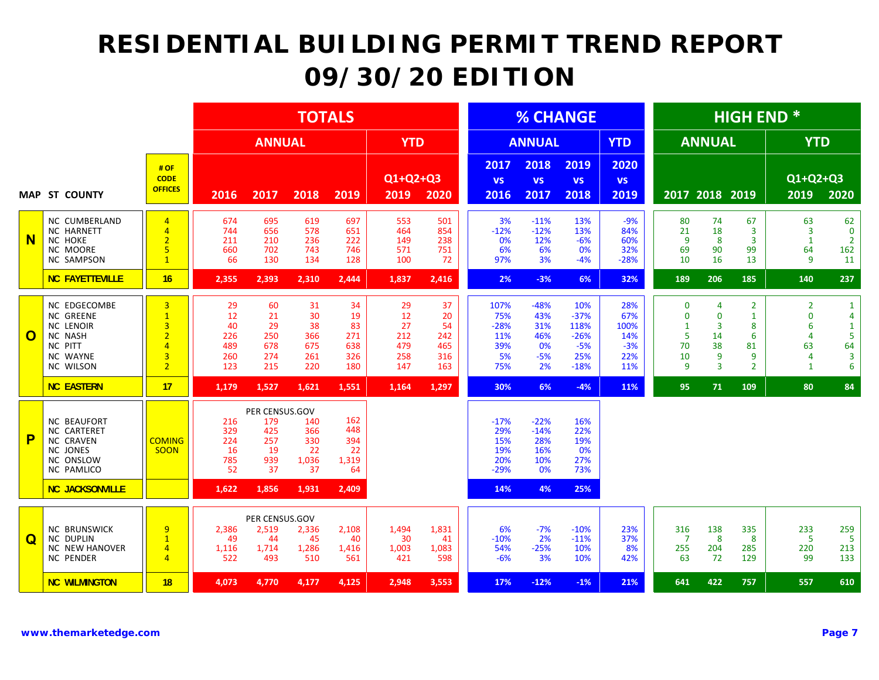|              |                                                                                                                                        |                                                                                                                      |                                            |                                                        | <b>TOTALS</b>                              |                                            |                                            |                                            |                                                  |                                                  | <b>% CHANGE</b>                                           |                                                  |                                                         |                                                                       | <b>HIGH END*</b>                                                      |                                                                                              |                                                                              |
|--------------|----------------------------------------------------------------------------------------------------------------------------------------|----------------------------------------------------------------------------------------------------------------------|--------------------------------------------|--------------------------------------------------------|--------------------------------------------|--------------------------------------------|--------------------------------------------|--------------------------------------------|--------------------------------------------------|--------------------------------------------------|-----------------------------------------------------------|--------------------------------------------------|---------------------------------------------------------|-----------------------------------------------------------------------|-----------------------------------------------------------------------|----------------------------------------------------------------------------------------------|------------------------------------------------------------------------------|
|              |                                                                                                                                        |                                                                                                                      |                                            | <b>ANNUAL</b>                                          |                                            |                                            | <b>YTD</b>                                 |                                            |                                                  | <b>ANNUAL</b>                                    |                                                           | <b>YTD</b>                                       |                                                         | <b>ANNUAL</b>                                                         |                                                                       | <b>YTD</b>                                                                                   |                                                                              |
|              | <b>MAP ST COUNTY</b>                                                                                                                   | # OF<br><b>CODE</b><br><b>OFFICES</b>                                                                                | 2016                                       | 2017                                                   | 2018                                       | 2019                                       | Q1+Q2+Q3<br>2019                           | 2020                                       | 2017<br><b>VS</b><br>2016                        | 2018<br><b>VS</b><br>2017                        | 2019<br><b>VS</b><br>2018                                 | 2020<br><b>VS</b><br>2019                        |                                                         | 2017 2018 2019                                                        |                                                                       | Q1+Q2+Q3<br>2019                                                                             | 2020                                                                         |
| $\mathbf N$  | NC CUMBERLAND<br><b>NC HARNETT</b><br><b>NC HOKE</b><br>NC MOORE<br>NC SAMPSON                                                         | $\overline{4}$<br>$\overline{4}$<br>$\overline{2}$<br>5<br>$\mathbf{1}$                                              | 674<br>744<br>211<br>660<br>66             | 695<br>656<br>210<br>702<br>130                        | 619<br>578<br>236<br>743<br>134            | 697<br>651<br>222<br>746<br>128            | 553<br>464<br>149<br>571<br>100            | 501<br>854<br>238<br>751<br>72             | 3%<br>$-12%$<br>0%<br>6%<br>97%                  | $-11%$<br>$-12%$<br>12%<br>6%<br>3%              | 13%<br>13%<br>$-6%$<br>0%<br>$-4%$                        | $-9%$<br>84%<br>60%<br>32%<br>$-28%$             | 80<br>21<br>9<br>69<br>10                               | 74<br>18<br>8<br>90<br>16                                             | 67<br>$\overline{3}$<br>$\overline{\mathbf{3}}$<br>99<br>13           | 63<br>$\overline{3}$<br>$\mathbf{1}$<br>64<br>9                                              | 62<br>$\mathbf 0$<br>$\overline{2}$<br>162<br>11                             |
|              | <b>NC FAYETTEVILLE</b>                                                                                                                 | 16                                                                                                                   | 2,355                                      | 2,393                                                  | 2,310                                      | 2,444                                      | 1,837                                      | 2,416                                      | 2%                                               | $-3%$                                            | 6%                                                        | 32%                                              | 189                                                     | 206                                                                   | 185                                                                   | 140                                                                                          | 237                                                                          |
| $\mathbf{O}$ | <b>NC EDGECOMBE</b><br><b>NC GREENE</b><br><b>NC LENOIR</b><br><b>NC NASH</b><br><b>NC PITT</b><br><b>NC WAYNE</b><br><b>NC WILSON</b> | $\overline{3}$<br>$\mathbf{1}$<br>$\overline{\mathbf{3}}$<br>$\overline{2}$<br>$\overline{4}$<br>3<br>$\overline{2}$ | 29<br>12<br>40<br>226<br>489<br>260<br>123 | 60<br>21<br>29<br>250<br>678<br>274<br>215             | 31<br>30<br>38<br>366<br>675<br>261<br>220 | 34<br>19<br>83<br>271<br>638<br>326<br>180 | 29<br>12<br>27<br>212<br>479<br>258<br>147 | 37<br>20<br>54<br>242<br>465<br>316<br>163 | 107%<br>75%<br>$-28%$<br>11%<br>39%<br>5%<br>75% | $-48%$<br>43%<br>31%<br>46%<br>0%<br>$-5%$<br>2% | 10%<br>$-37%$<br>118%<br>$-26%$<br>$-5%$<br>25%<br>$-18%$ | 28%<br>67%<br>100%<br>14%<br>$-3%$<br>22%<br>11% | $\mathbf{0}$<br>$\mathbf{0}$<br>1<br>5<br>70<br>10<br>9 | $\overline{4}$<br>$\mathbf 0$<br>3<br>14<br>38<br>9<br>$\overline{3}$ | $\overline{2}$<br>$\mathbf{1}$<br>8<br>6<br>81<br>9<br>$\overline{2}$ | $\overline{2}$<br>$\mathbf 0$<br>6<br>$\overline{4}$<br>63<br>$\overline{4}$<br>$\mathbf{1}$ | $\mathbf{1}$<br>4<br>$\mathbf{1}$<br>5<br>64<br>$\overline{\mathbf{3}}$<br>6 |
|              | <b>NC EASTERN</b>                                                                                                                      | 17                                                                                                                   | 1,179                                      | 1,527                                                  | 1,621                                      | 1,551                                      | 1,164                                      | 1,297                                      | 30%                                              | 6%                                               | $-4%$                                                     | 11%                                              | 95                                                      | 71                                                                    | 109                                                                   | 80                                                                                           | 84                                                                           |
| P            | <b>NC BEAUFORT</b><br>NC CARTERET<br><b>NC CRAVEN</b><br><b>NC JONES</b><br><b>NC ONSLOW</b><br>NC PAMLICO                             | <b>COMING</b><br><b>SOON</b>                                                                                         | 216<br>329<br>224<br>16<br>785<br>52       | PER CENSUS.GOV<br>179<br>425<br>257<br>19<br>939<br>37 | 140<br>366<br>330<br>22<br>1,036<br>37     | 162<br>448<br>394<br>22<br>1,319<br>64     |                                            |                                            | $-17%$<br>29%<br>15%<br>19%<br>20%<br>$-29%$     | $-22%$<br>$-14%$<br>28%<br>16%<br>10%<br>0%      | 16%<br>22%<br>19%<br>0%<br>27%<br>73%                     |                                                  |                                                         |                                                                       |                                                                       |                                                                                              |                                                                              |
|              | <b>NC JACKSONVILLE</b>                                                                                                                 |                                                                                                                      | 1,622                                      | 1,856                                                  | 1,931                                      | 2,409                                      |                                            |                                            | 14%                                              | 4%                                               | 25%                                                       |                                                  |                                                         |                                                                       |                                                                       |                                                                                              |                                                                              |
| $\mathbf Q$  | <b>NC BRUNSWICK</b><br><b>NC DUPLIN</b><br><b>NC NEW HANOVER</b><br><b>NC PENDER</b>                                                   | 9<br>$\mathbf{1}$<br>$\overline{4}$<br>$\overline{4}$                                                                | 2,386<br>49<br>1,116<br>522                | PER CENSUS.GOV<br>2,519<br>44<br>1,714<br>493          | 2,336<br>45<br>1,286<br>510                | 2,108<br>40<br>1,416<br>561                | 1,494<br>30<br>1,003<br>421                | 1,831<br>41<br>1,083<br>598                | 6%<br>$-10%$<br>54%<br>$-6%$                     | $-7%$<br>2%<br>$-25%$<br>3%                      | $-10%$<br>$-11%$<br>10%<br>10%                            | 23%<br>37%<br>8%<br>42%                          | 316<br>$\overline{7}$<br>255<br>63                      | 138<br>8<br>204<br>72                                                 | 335<br>8<br>285<br>129                                                | 233<br>$\overline{5}$<br>220<br>99                                                           | 259<br>5<br>213<br>133                                                       |
|              | <b>NC WILMINGTON</b>                                                                                                                   | 18                                                                                                                   | 4,073                                      | 4,770                                                  | 4,177                                      | 4,125                                      | 2,948                                      | 3,553                                      | 17%                                              | $-12%$                                           | $-1%$                                                     | 21%                                              | 641                                                     | 422                                                                   | 757                                                                   | 557                                                                                          | 610                                                                          |